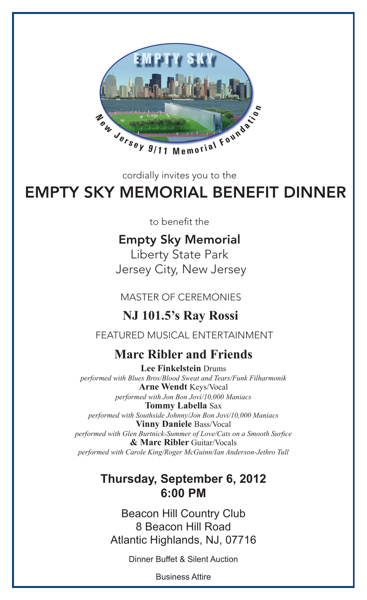

cordially invites you to the

# EMPTY SKY MEMORIAL BENEFIT DINNER

to benefit the

## Empty Sky Memorial

Liberty State Park Jersey City, New Jersey

MASTER OF CEREMONIES

## **NJ 101.5's Ray Rossi**

FEATURED MUSICAL ENTERTAINMENT

### Move Dibley and Enjoyde **Hoff Longoria Ribler and Friends**

**LEE FINKEISIEIN** DIUIIIS<br>*performed with Blues Bros/Blood Sweat and Tears/Funk Filharmonik* Arne Wendt Keys/Vocal performed with Southside Johnny/Jon Bon Jovi/10,000 Maniacs<br>**Vinny Daniele** Bass/Vocal en Burtnick-Summer of Love/Cats on<br>**& Marc Ribler** Guitar/Vocals **Lee Finkelstein** Drums *performed with Jon Bon Jovi/10,000 Maniacs* **Tommy Labella** Sax **Vinny Daniele** Bass/Vocal *performed with Glen Burtnick-Summer of Love/Cats on a Smooth Surfice performed with Carole King/Roger McGuinn/Ian Anderson-Jethro Tull*

## The Short Hills Hilton Thursday, September 6, 2012 6:00 PM

8 Beacon Hill Road Beacon Hill Country Club Atlantic Highlands, NJ, 07716

Dinner Buffet & Silent Auction

Business Attire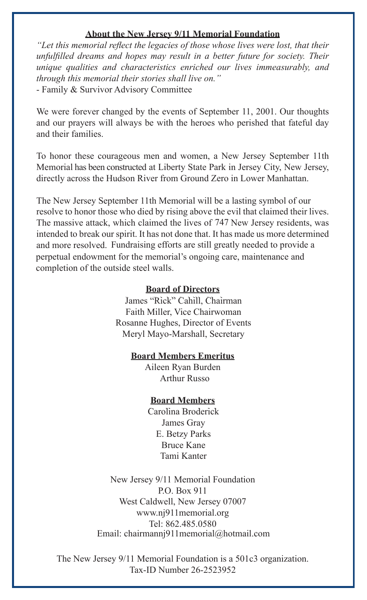#### **About the New Jersey 9/11 Memorial Foundation About the New Jersey 9/11 Memorial Foundation**

"Let this memorial reflect the legacies of those whose lives were lost, that their unfulfilled dreams and hopes may result in a better future for society. Their<br>unique qualities and characteristics enriched our lives immeasurably, and<br>through this memorial their stories shall live on." unique qualities and characteristics enriched our lives immeasurably, and *unique qualities and characteristics enriched our lives immeasurably, and unique qualities and characteristics enriched our lives immeasurably, and through this memorial their stories shall live on." through this memorial their stories shall live on."* - Family & Survivor Advisory Committee *through this memorial their stories shall live on."* - Family & Survivor Advisory Committee

and our prayers will always be with the heroes who perished that fateful day and their families. We were forever changed by the events of September 11, 2001. Our thoughts - Family & Survivor Advisory Committee We were forever changed by the events of September 11, 2001. Our thoughts

Memorial has been constructed at Liberty State Park in Jersey City, New Jersey, directly across the Hudson River from Ground Zero in Lower Manhattan. To honor these courageous men and women, a New Jersey September 11th and their families. To honor these courageous men and women, a New Jersey September 11th

resolve to honor those who died by rising above the evil that claimed their lives. The massive attack, which claimed the lives of 747 New Jersey residents, was intended to break our spirit. It has not done that. It has made us more determined and more resolved. Fundraising efforts are still greatly needed to provide a perpetual endowment for the memorial's ongoing care, maintenance and The New Jersey September 11th Memorial will be a lasting symbol of our completion of the outside steel walls. directly across the Hudson River from Ground Zero in Lower Manhattan. The New Jersey September 11th Memorial will be a lasting symbol of our

## **Board of Directors**

James "Rick" Cahill, Chairman Faith Miller, Vice Chairwoman Rosanne Hughes, Director of Events Meryl Mayo-Marshall, Secretary

## **Board Members Emeritus**

Aileen Ryan Burden Arthur Russo Arthur Russo

## **Board Members**

Carolina Broderick James Gray James Gray<br>E. Betzy Parks Bruce Kane Tami Kanter

P.O. Box 911 West Caldwell, New Jersey 07007 www.nj911memorial.org Tel: 862.485.0580 Email: chairmannj911memorial@hotmail.com New Jersey 9/11 Memorial Foundation New Jersey 9/11 Memorial Foundation

The New Jersey 9/11 Memorial Foundation is a 501c3 organization. Tax-ID Number 26-2523952 Tax-ID Number 26-2523952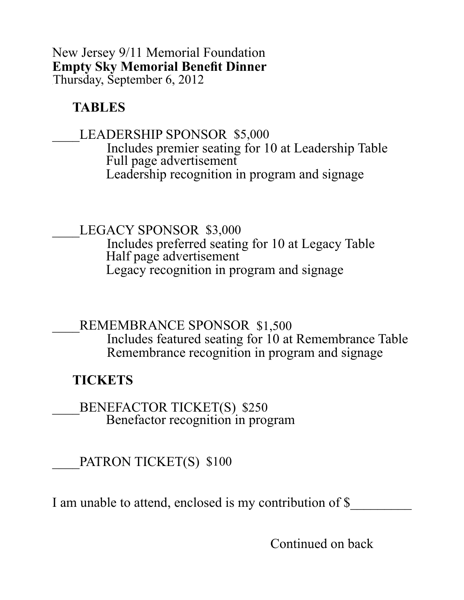#### New Jersey 9/11 Memorial Foundation **Empty Sky Memorial Benefit Dinner** Thursday, September 6, 2012

#### **TABLES**

#### LEADERSHIP SPONSOR \$5,000

 Includes premier seating for 10 at Leadership Table Full page advertisement Leadership recognition in program and signage

LEGACY SPONSOR \$3,000

 Includes preferred seating for 10 at Legacy Table Half page advertisement Legacy recognition in program and signage

REMEMBRANCE SPONSOR \$1,500 Includes featured seating for 10 at Remembrance Table Remembrance recognition in program and signage

#### **TICKETS**

BENEFACTOR TICKET(S) \$250 Benefactor recognition in program

PATRON TICKET(S) \$100

I am unable to attend, enclosed is my contribution of \$

Continued on back